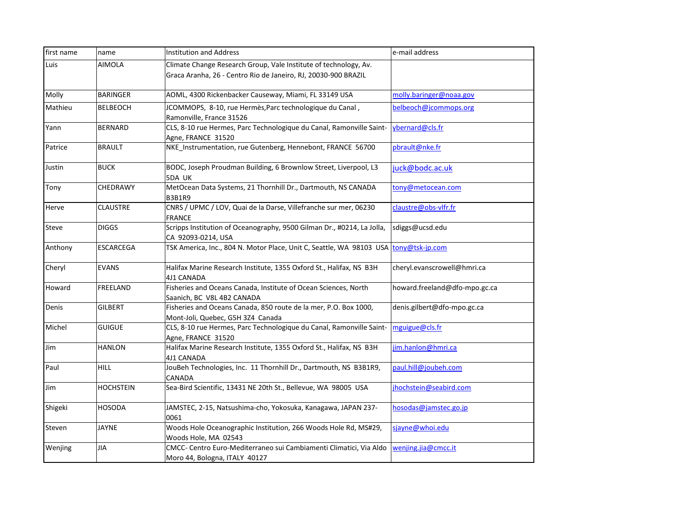| first name   | name             | <b>Institution and Address</b>                                                                                                     | e-mail address                |
|--------------|------------------|------------------------------------------------------------------------------------------------------------------------------------|-------------------------------|
| Luis         | AIMOLA           | Climate Change Research Group, Vale Institute of technology, Av.<br>Graca Aranha, 26 - Centro Rio de Janeiro, RJ, 20030-900 BRAZIL |                               |
| Molly        | <b>BARINGER</b>  | AOML, 4300 Rickenbacker Causeway, Miami, FL 33149 USA                                                                              | molly.baringer@noaa.gov       |
| Mathieu      | <b>BELBEOCH</b>  | JCOMMOPS, 8-10, rue Hermès, Parc technologique du Canal,<br>Ramonville, France 31526                                               | belbeoch@jcommops.org         |
| Yann         | <b>BERNARD</b>   | CLS, 8-10 rue Hermes, Parc Technologique du Canal, Ramonville Saint-<br>Agne, FRANCE 31520                                         | ybernard@cls.fr               |
| Patrice      | <b>BRAULT</b>    | NKE_Instrumentation, rue Gutenberg, Hennebont, FRANCE 56700                                                                        | pbrault@nke.fr                |
| Justin       | <b>BUCK</b>      | BODC, Joseph Proudman Building, 6 Brownlow Street, Liverpool, L3<br>5DA UK                                                         | juck@bodc.ac.uk               |
| Tony         | CHEDRAWY         | MetOcean Data Systems, 21 Thornhill Dr., Dartmouth, NS CANADA<br><b>B3B1R9</b>                                                     | tony@metocean.com             |
| Herve        | CLAUSTRE         | CNRS / UPMC / LOV, Quai de la Darse, Villefranche sur mer, 06230<br><b>FRANCE</b>                                                  | claustre@obs-vlfr.fr          |
| <b>Steve</b> | <b>DIGGS</b>     | Scripps Institution of Oceanography, 9500 Gilman Dr., #0214, La Jolla,<br>CA 92093-0214, USA                                       | sdiggs@ucsd.edu               |
| Anthony      | <b>ESCARCEGA</b> | TSK America, Inc., 804 N. Motor Place, Unit C, Seattle, WA 98103 USA                                                               | tony@tsk-jp.com               |
| Cheryl       | <b>EVANS</b>     | Halifax Marine Research Institute, 1355 Oxford St., Halifax, NS B3H<br>4J1 CANADA                                                  | cheryl.evanscrowell@hmri.ca   |
| Howard       | FREELAND         | Fisheries and Oceans Canada, Institute of Ocean Sciences, North<br>Saanich, BC V8L 4B2 CANADA                                      | howard.freeland@dfo-mpo.gc.ca |
| Denis        | <b>GILBERT</b>   | Fisheries and Oceans Canada, 850 route de la mer, P.O. Box 1000,<br>Mont-Joli, Quebec, G5H 3Z4 Canada                              | denis.gilbert@dfo-mpo.gc.ca   |
| Michel       | <b>GUIGUE</b>    | CLS, 8-10 rue Hermes, Parc Technologique du Canal, Ramonville Saint-<br>Agne, FRANCE 31520                                         | mguigue@cls.fr                |
| Jim          | <b>HANLON</b>    | Halifax Marine Research Institute, 1355 Oxford St., Halifax, NS B3H<br>4J1 CANADA                                                  | jim.hanlon@hmri.ca            |
| Paul         | <b>HILL</b>      | JouBeh Technologies, Inc. 11 Thornhill Dr., Dartmouth, NS B3B1R9,<br>CANADA                                                        | paul.hill@joubeh.com          |
| Jim          | HOCHSTEIN        | Sea-Bird Scientific, 13431 NE 20th St., Bellevue, WA 98005 USA                                                                     | jhochstein@seabird.com        |
| Shigeki      | HOSODA           | JAMSTEC, 2-15, Natsushima-cho, Yokosuka, Kanagawa, JAPAN 237-<br>0061                                                              | hosodas@jamstec.go.jp         |
| Steven       | <b>JAYNE</b>     | Woods Hole Oceanographic Institution, 266 Woods Hole Rd, MS#29,<br>Woods Hole, MA 02543                                            | sjayne@whoi.edu               |
| Wenjing      | JIA              | CMCC- Centro Euro-Mediterraneo sui Cambiamenti Climatici, Via Aldo<br>Moro 44, Bologna, ITALY 40127                                | wenjing.jia@cmcc.it           |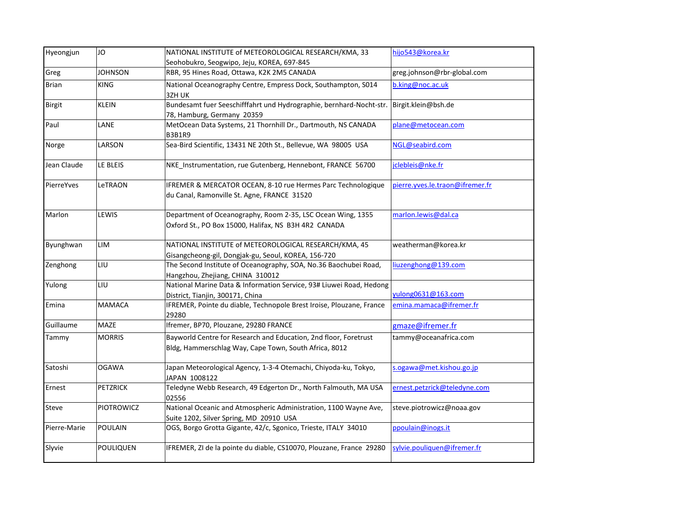| Hyeongjun     | JO.              | NATIONAL INSTITUTE of METEOROLOGICAL RESEARCH/KMA, 33                                                                     | hijo543@korea.kr                |
|---------------|------------------|---------------------------------------------------------------------------------------------------------------------------|---------------------------------|
|               |                  | Seohobukro, Seogwipo, Jeju, KOREA, 697-845                                                                                |                                 |
| Greg          | <b>JOHNSON</b>   | RBR, 95 Hines Road, Ottawa, K2K 2M5 CANADA                                                                                | greg.johnson@rbr-global.com     |
| <b>Brian</b>  | <b>KING</b>      | National Oceanography Centre, Empress Dock, Southampton, S014<br>3ZH UK                                                   | b.king@noc.ac.uk                |
| <b>Birgit</b> | <b>KLEIN</b>     | Bundesamt fuer Seeschifffahrt und Hydrographie, bernhard-Nocht-str.<br>78, Hamburg, Germany 20359                         | Birgit.klein@bsh.de             |
| Paul          | LANE             | MetOcean Data Systems, 21 Thornhill Dr., Dartmouth, NS CANADA<br><b>B3B1R9</b>                                            | plane@metocean.com              |
| Norge         | LARSON           | Sea-Bird Scientific, 13431 NE 20th St., Bellevue, WA 98005 USA                                                            | NGL@seabird.com                 |
| Jean Claude   | LE BLEIS         | NKE Instrumentation, rue Gutenberg, Hennebont, FRANCE 56700                                                               | jclebleis@nke.fr                |
| PierreYves    | LeTRAON          | IFREMER & MERCATOR OCEAN, 8-10 rue Hermes Parc Technologique<br>du Canal, Ramonville St. Agne, FRANCE 31520               | pierre.yves.le.traon@ifremer.fr |
| Marlon        | LEWIS            | Department of Oceanography, Room 2-35, LSC Ocean Wing, 1355<br>Oxford St., PO Box 15000, Halifax, NS B3H 4R2 CANADA       | marlon.lewis@dal.ca             |
| Byunghwan     | LIM              | NATIONAL INSTITUTE of METEOROLOGICAL RESEARCH/KMA, 45<br>Gisangcheong-gil, Dongjak-gu, Seoul, KOREA, 156-720              | weatherman@korea.kr             |
| Zenghong      | LIU              | The Second Institute of Oceanography, SOA, No.36 Baochubei Road,<br>Hangzhou, Zhejiang, CHINA 310012                      | liuzenghong@139.com             |
| Yulong        | LIU              | National Marine Data & Information Service, 93# Liuwei Road, Hedong<br>District, Tianjin, 300171, China                   | yulong0631@163.com              |
| Emina         | <b>MAMACA</b>    | IFREMER, Pointe du diable, Technopole Brest Iroise, Plouzane, France<br>29280                                             | emina.mamaca@ifremer.fr         |
| Guillaume     | MAZE             | Ifremer, BP70, Plouzane, 29280 FRANCE                                                                                     | gmaze@ifremer.fr                |
| Tammy         | <b>MORRIS</b>    | Bayworld Centre for Research and Education, 2nd floor, Foretrust<br>Bldg, Hammerschlag Way, Cape Town, South Africa, 8012 | tammy@oceanafrica.com           |
| Satoshi       | <b>OGAWA</b>     | Japan Meteorological Agency, 1-3-4 Otemachi, Chiyoda-ku, Tokyo,<br>JAPAN 1008122                                          | s.ogawa@met.kishou.go.jp        |
| Ernest        | <b>PETZRICK</b>  | Teledyne Webb Research, 49 Edgerton Dr., North Falmouth, MA USA<br>02556                                                  | ernest.petzrick@teledyne.com    |
| Steve         | PIOTROWICZ       | National Oceanic and Atmospheric Administration, 1100 Wayne Ave,<br>Suite 1202, Silver Spring, MD 20910 USA               | steve.piotrowicz@noaa.gov       |
| Pierre-Marie  | <b>POULAIN</b>   | OGS, Borgo Grotta Gigante, 42/c, Sgonico, Trieste, ITALY 34010                                                            | ppoulain@inogs.it               |
| Slyvie        | <b>POULIQUEN</b> | IFREMER, ZI de la pointe du diable, CS10070, Plouzane, France 29280                                                       | sylvie.pouliquen@ifremer.fr     |